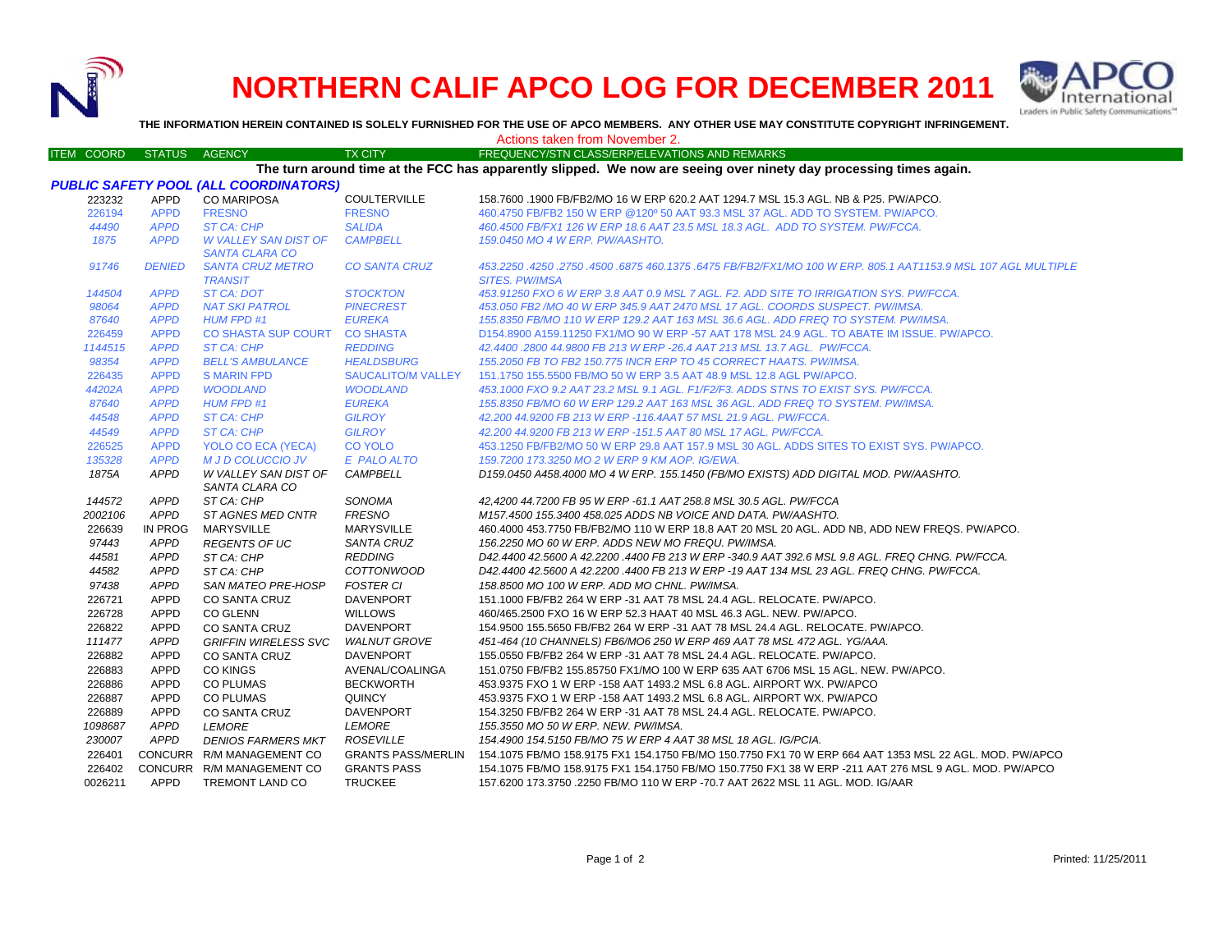

## **NORTHERN CALIF APCO LOG FOR DECEMBER 2011**



**THE INFORMATION HEREIN CONTAINED IS SOLELY FURNISHED FOR THE USE OF APCO MEMBERS. ANY OTHER USE MAY CONSTITUTE COPYRIGHT INFRINGEMENT.**

|  |  |  | Actions taken from November 2. |  |
|--|--|--|--------------------------------|--|
|--|--|--|--------------------------------|--|

|         | ITEM COORD STATUS AGENCY |                                              | <b>TX CITY</b>            | FREQUENCY/STN CLASS/ERP/ELEVATIONS AND REMARKS                                                                            |
|---------|--------------------------|----------------------------------------------|---------------------------|---------------------------------------------------------------------------------------------------------------------------|
|         |                          |                                              |                           | The turn around time at the FCC has apparently slipped. We now are seeing over ninety day processing times again.         |
|         |                          | <b>PUBLIC SAFETY POOL (ALL COORDINATORS)</b> |                           |                                                                                                                           |
| 223232  | APPD                     | <b>CO MARIPOSA</b>                           | <b>COULTERVILLE</b>       | 158.7600 .1900 FB/FB2/MO 16 W ERP 620.2 AAT 1294.7 MSL 15.3 AGL. NB & P25. PW/APCO.                                       |
| 226194  | <b>APPD</b>              | <b>FRESNO</b>                                | <b>FRESNO</b>             | 460.4750 FB/FB2 150 W ERP @120° 50 AAT 93.3 MSL 37 AGL, ADD TO SYSTEM, PW/APCO.                                           |
| 44490   | <b>APPD</b>              | ST CA: CHP                                   | <b>SALIDA</b>             | 460.4500 FB/FX1 126 W ERP 18.6 AAT 23.5 MSL 18.3 AGL. ADD TO SYSTEM. PW/FCCA.                                             |
| 1875    | <b>APPD</b>              | <b>W VALLEY SAN DIST OF</b>                  | <b>CAMPBELL</b>           | 159.0450 MO 4 W ERP. PW/AASHTO.                                                                                           |
|         |                          | <b>SANTA CLARA CO</b>                        |                           |                                                                                                                           |
| 91746   | <b>DENIED</b>            | <b>SANTA CRUZ METRO</b>                      | <b>CO SANTA CRUZ</b>      | 453.2250 .4250 .2750 .4500 .6875 460 .1375 .6475 FB/FB2/FX1/MO 100 W ERP. 805.1 AAT1153.9 MSL 107 AGL MULTIPLE            |
|         |                          | <b>TRANSIT</b>                               |                           | <b>SITES. PW/IMSA</b>                                                                                                     |
| 144504  | <b>APPD</b>              | ST CA: DOT                                   | <b>STOCKTON</b>           | 453.91250 FXO 6 W ERP 3.8 AAT 0.9 MSL 7 AGL. F2. ADD SITE TO IRRIGATION SYS. PW/FCCA.                                     |
| 98064   | <b>APPD</b>              | <b>NAT SKI PATROL</b>                        | <b>PINECREST</b>          | 453.050 FB2 /MO 40 W ERP 345.9 AAT 2470 MSL 17 AGL. COORDS SUSPECT. PW/IMSA.                                              |
| 87640   | <b>APPD</b>              | <b>HUM FPD #1</b>                            | <b>EUREKA</b>             | 155.8350 FB/MO 110 W ERP 129.2 AAT 163 MSL 36.6 AGL. ADD FREQ TO SYSTEM. PW/IMSA.                                         |
| 226459  | <b>APPD</b>              | CO SHASTA SUP COURT                          | <b>CO SHASTA</b>          | D154.8900 A159.11250 FX1/MO 90 W ERP -57 AAT 178 MSL 24.9 AGL. TO ABATE IM ISSUE. PW/APCO.                                |
| 1144515 | <b>APPD</b>              | ST CA: CHP                                   | <b>REDDING</b>            | 42.4400.2800 44.9800 FB 213 W ERP -26.4 AAT 213 MSL 13.7 AGL. PW/FCCA.                                                    |
| 98354   | <b>APPD</b>              | <b>BELL'S AMBULANCE</b>                      | <b>HEALDSBURG</b>         | 155.2050 FB TO FB2 150.775 INCR ERP TO 45 CORRECT HAATS. PW/IMSA.                                                         |
| 226435  | <b>APPD</b>              | <b>S MARIN FPD</b>                           | <b>SAUCALITO/M VALLEY</b> | 151.1750 155.5500 FB/MO 50 W ERP 3.5 AAT 48.9 MSL 12.8 AGL PW/APCO.                                                       |
| 44202A  | <b>APPD</b>              | <b>WOODLAND</b>                              | <b>WOODLAND</b>           | 453.1000 FXO 9.2 AAT 23.2 MSL 9.1 AGL. F1/F2/F3. ADDS STNS TO EXIST SYS. PW/FCCA.                                         |
| 87640   | <b>APPD</b>              | <b>HUM FPD #1</b>                            | <b>EUREKA</b>             | 155.8350 FB/MO 60 W ERP 129.2 AAT 163 MSL 36 AGL. ADD FREQ TO SYSTEM. PW/IMSA.                                            |
| 44548   | <b>APPD</b>              | <b>ST CA: CHP</b>                            | <b>GILROY</b>             | 42.200 44.9200 FB 213 W ERP -116.4AAT 57 MSL 21.9 AGL. PW/FCCA.                                                           |
| 44549   | <b>APPD</b>              | ST CA: CHP                                   | <b>GILROY</b>             | 42.200 44.9200 FB 213 W ERP -151.5 AAT 80 MSL 17 AGL, PW/FCCA.                                                            |
| 226525  | <b>APPD</b>              | YOLO CO ECA (YECA)                           | <b>CO YOLO</b>            | 453.1250 FB/FB2/MO 50 W ERP 29.8 AAT 157.9 MSL 30 AGL. ADDS SITES TO EXIST SYS. PW/APCO.                                  |
| 135328  | <b>APPD</b>              | <b>M J D COLUCCIO JV</b>                     | E PALO ALTO               | 159.7200 173.3250 MO 2 W ERP 9 KM AOP. IG/EWA.                                                                            |
| 1875A   | <b>APPD</b>              | W VALLEY SAN DIST OF                         | <b>CAMPBELL</b>           | D159.0450 A458.4000 MO 4 W ERP. 155.1450 (FB/MO EXISTS) ADD DIGITAL MOD. PW/AASHTO.                                       |
|         |                          | SANTA CLARA CO                               |                           |                                                                                                                           |
| 144572  | <b>APPD</b>              | ST CA: CHP                                   | SONOMA                    | 42,4200 44.7200 FB 95 W ERP -61.1 AAT 258.8 MSL 30.5 AGL. PW/FCCA                                                         |
| 2002106 | <b>APPD</b>              | ST AGNES MED CNTR                            | <b>FRESNO</b>             | M157.4500 155.3400 458.025 ADDS NB VOICE AND DATA. PW/AASHTO.                                                             |
| 226639  | IN PROG                  | <b>MARYSVILLE</b>                            | MARYSVILLE                | 460.4000 453.7750 FB/FB2/MO 110 W ERP 18.8 AAT 20 MSL 20 AGL. ADD NB. ADD NEW FREQS, PW/APCO.                             |
| 97443   | <b>APPD</b>              | <b>REGENTS OF UC</b>                         | SANTA CRUZ                | 156.2250 MO 60 W ERP. ADDS NEW MO FREQU. PW/IMSA.                                                                         |
| 44581   | <b>APPD</b>              | ST CA: CHP                                   | <b>REDDING</b>            | D42.4400 42.5600 A 42.2200 .4400 FB 213 W ERP -340.9 AAT 392.6 MSL 9.8 AGL. FREQ CHNG. PW/FCCA.                           |
| 44582   | <b>APPD</b>              | ST CA: CHP                                   | <i>COTTONWOOD</i>         | D42.4400 42.5600 A 42.2200 .4400 FB 213 W ERP -19 AAT 134 MSL 23 AGL. FREQ CHNG. PW/FCCA.                                 |
| 97438   | <b>APPD</b>              | <b>SAN MATEO PRE-HOSP</b>                    | <b>FOSTER CI</b>          | 158.8500 MO 100 W ERP. ADD MO CHNL. PW/IMSA.                                                                              |
| 226721  | APPD                     | CO SANTA CRUZ                                | <b>DAVENPORT</b>          | 151.1000 FB/FB2 264 W ERP -31 AAT 78 MSL 24.4 AGL. RELOCATE. PW/APCO.                                                     |
| 226728  | <b>APPD</b>              | <b>CO GLENN</b>                              | <b>WILLOWS</b>            | 460/465.2500 FXO 16 W ERP 52.3 HAAT 40 MSL 46.3 AGL. NEW. PW/APCO.                                                        |
| 226822  | <b>APPD</b>              | <b>CO SANTA CRUZ</b>                         | <b>DAVENPORT</b>          | 154,9500 155,5650 FB/FB2 264 W ERP -31 AAT 78 MSL 24.4 AGL, RELOCATE, PW/APCO,                                            |
| 111477  | <b>APPD</b>              | <b>GRIFFIN WIRELESS SVC</b>                  | <b>WALNUT GROVE</b>       | 451-464 (10 CHANNELS) FB6/MO6 250 W ERP 469 AAT 78 MSL 472 AGL. YG/AAA.                                                   |
| 226882  | APPD                     | <b>CO SANTA CRUZ</b>                         | <b>DAVENPORT</b>          | 155.0550 FB/FB2 264 W ERP -31 AAT 78 MSL 24.4 AGL. RELOCATE. PW/APCO.                                                     |
| 226883  | APPD                     | <b>CO KINGS</b>                              | AVENAL/COALINGA           | 151.0750 FB/FB2 155.85750 FX1/MO 100 W ERP 635 AAT 6706 MSL 15 AGL. NEW. PW/APCO.                                         |
| 226886  | <b>APPD</b>              | <b>CO PLUMAS</b>                             | <b>BECKWORTH</b>          | 453.9375 FXO 1 W ERP -158 AAT 1493.2 MSL 6.8 AGL. AIRPORT WX. PW/APCO                                                     |
| 226887  | APPD                     | <b>CO PLUMAS</b>                             | QUINCY                    | 453.9375 FXO 1 W ERP -158 AAT 1493.2 MSL 6.8 AGL. AIRPORT WX. PW/APCO                                                     |
| 226889  | APPD                     | CO SANTA CRUZ                                | DAVENPORT                 | 154.3250 FB/FB2 264 W ERP -31 AAT 78 MSL 24.4 AGL, RELOCATE, PW/APCO.                                                     |
| 1098687 | <b>APPD</b>              | <b>LEMORE</b>                                | <b>LEMORE</b>             | 155.3550 MO 50 W ERP. NEW. PW/IMSA.                                                                                       |
| 230007  | <b>APPD</b>              | <b>DENIOS FARMERS MKT</b>                    | <b>ROSEVILLE</b>          | 154.4900 154.5150 FB/MO 75 W ERP 4 AAT 38 MSL 18 AGL. IG/PCIA.                                                            |
| 226401  |                          | CONCURR R/M MANAGEMENT CO                    |                           | GRANTS PASS/MERLIN 154.1075 FB/MO 158.9175 FX1 154.1750 FB/MO 150.7750 FX1 70 W ERP 664 AAT 1353 MSL 22 AGL. MOD. PW/APCO |
| 226402  |                          | CONCURR R/M MANAGEMENT CO                    | <b>GRANTS PASS</b>        | 154.1075 FB/MO 158.9175 FX1 154.1750 FB/MO 150.7750 FX1 38 W ERP -211 AAT 276 MSL 9 AGL. MOD. PW/APCO                     |
| 0026211 | APPD                     | TREMONT LAND CO                              | <b>TRUCKEE</b>            | 157.6200 173.3750 .2250 FB/MO 110 W ERP -70.7 AAT 2622 MSL 11 AGL. MOD. IG/AAR                                            |